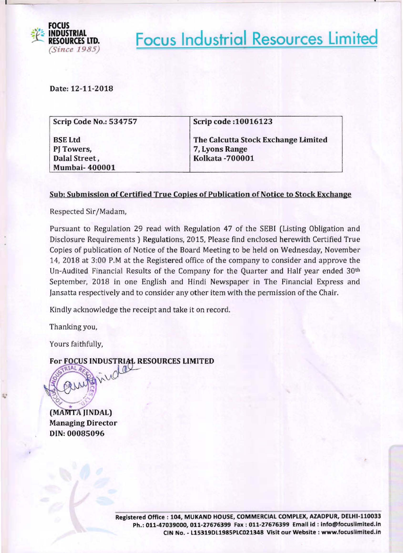

**Focus Industrial Resources Limited** 

Date: 12-11-2018

| Scrip Code No.: 534757 | Scrip code: 10016123                |
|------------------------|-------------------------------------|
| <b>BSE Ltd</b>         | The Calcutta Stock Exchange Limited |
| PJ Towers,             | 7, Lyons Range                      |
| Dalal Street,          | <b>Kolkata-700001</b>               |
| <b>Mumbai-400001</b>   |                                     |

### Sub: Submission of Certified True Copies of Publication of Notice to Stock Exchange

Respected Sir/Madam,

Pursuant to Regulation 29 read with Regulation 47 of the SEBI (Listing Obligation and Disclosure Requirements) Regulations, 2015, Please find enclosed herewith Certified True Copies of publication of Notice of the Board Meeting to be held on Wednesday, November 14, 2018 at 3:00 P.M at the Registered office of the company to consider and approve the Un-Audited Financial Results of the Company for the Quarter and Half year ended 30th September, 2018 in one English and Hindi Newspaper in The Financial Express and Jansatta respectively and to consider any other item with the permission of the Chair.

Kindly acknowledge the receipt and take it on record.

Thanking you,

Yours faithfully,

For FOCUS INDUSTRIAL RESOURCES LIMITED

(MAMTA JINDAL) Managing Director DIN: 00085096

*t*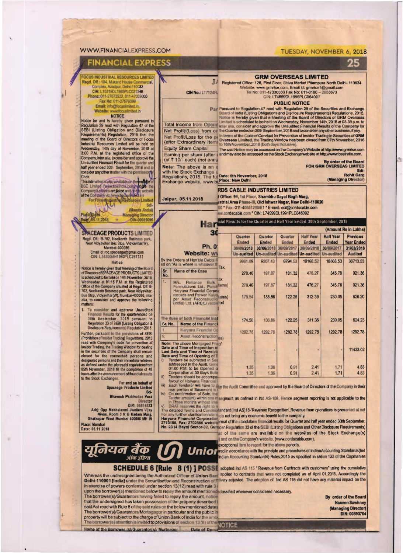### **WWW.FINANCIALEXPRESS.COM**

#### TUESDAY, NOVEMBER 6, 2018

**GRM OVERSEAS LIMITED** J. Registered Office: 128, First Floor, Shive Market Pitampura North Delhi- 110034<br>Website: www.grmnice.com, Email id: grmnice f@gmail.com

25

## **FINANCIAL EXPRESS**

**FOCUS INDUSTRIAL RESOURCES LIMITED** Regd. Off.: 104, Mukand House Con **Sal** Complex, Azadpur, Delhi-110033<br>CIN: L15319DL1985PLC021348 Phone: 011-27673522, 011-47039000 Fax No: 011-27676399 Email: info@focusimited.in.<br>Website: www.focusimited.in

**NOTICE**<br>
NOTICE<br>
Notice be and is hereby given pursuant to<br>
Regulation 29 read with Regulation and Disclosure<br>
Regulation, 2015 that the<br>
Industrial Regulation, 2015 that the<br>
Industrial Regulation, 2016 that the<br>
Industr Wednesday, 14th day of November, 2018 at 3:00 P.M. at the registered office of the Company, inter alia, to consider and approve the<br>Un-audited Financial Result for the quarter and half year ended 30th September, 2018 and t consider any other matter with the permiss đ Chair

This intimation is also available on the week the For Focus Press (www.focus)<br>of the Company's states are listed and current with the second<br>of the Company's states are listed and current with the Company's state<br> $\frac{1}{2}$  For Focus Press (www.focus)<br> $\frac{1}{2}$  Sd.

(Mamta Jindai)

# Managing Director

**ACEAGE PRODUCTS LIMITED** G Regd. Off.: B-702, Neelkanth Business park,<br>Near Vidyavihar Bus Slop, Vidyavihar (W),<br>Mumbai-400086.

Place 05.11.2018

Email id: roc.spaceage@gmail.com<br>CIN: L34300MH1980PLC267131 **Notice** 

Notice is hereby given that Meeting of the Board<br>of Directors of SPACEAGE PRODUCTS LIMTED<br>is scheduled to be held on 14th November, 2018,<br>Wednesday at 01:15 PM at the Registered<br>Office of the Company situated at Regd. Off. alia, to consider and approve the following

To consider and approve Unaudited<br>Financial Results for the quarterended on<br>30th September, 2018 pursuant to<br>Regulation 33 of SEBI (Listing Obligation 8<br>Disclosure Requirements) Regulation 2015. 1.

Further, pursuant to the provisions of SEBI (Prohibition of Insider Trading) Regulations, 2015 read with Company's code for prevention of<br>Insider Trading, the Trading Window for dealing in the securities of the Company shall remain<br>closed for the connected persons and designated persons and their immediate relatives designated persons and their immediate relatives<br>as defined under the aforesaid regulationsform<br>05th November, 2018 fill the completion of 48<br>hours after the announcement of financial results<br>to the Stock Exchanges.

For and on behalf of<br>Spaceage Products Limited **RAU** 

**Bhavesh Prabhudan Vora** Directo

DIN: 06814823

ऑफ इंडिया

Add: Opp Mahhalaxmi Jwellers Viay Nivas, Room 3 R B Kadam Marg,<br>Ghatkopar West Mumbai 400086 MH IN Place: Mumbai<br>Date: 05.11.2018

यूनियन बैंक



factor of Haryana Financial<br>Each Tenderer will have to ghy the Audilt Committee and approved by the Board of Directors of the Company in their<br>rear portion of Basement's 19 而

compa

**CIN No.: L17124R** 

Concentration of Sale. the<br>Tender amount) within one in segment as defined in Ind AS-108, Hence segment reporting is not applicable to the<br>In Three months without Inte ivi

1.06

1.35

ii)

Teoders should be ad

reserves the right to n The detailed Terms and Contact and and Ind AS) 18-Revenue Recognition'. Revenue from operations is presented at net<br>The detailed Terms and Contact and and any economic benefit to the company.<br>Haryane Financial Corporation

at of the same are available on the websites of the Stock Exchange(s) and on the Company's website. (www.cordscable.com).

exceptional item to report for the above periods.

Union Accounting Standards (Indian Accounting Standards Accounting Standards (Indian Accounting Standards Accounting Standards Accounting Standards Accounting Standards Rules, 2015 as specified in setion 133 of the Copmani

0.91

 $2.41$ 

**SCHEDULE 6 [Rule 8 (1) ] POSSE** adopted ind AS 115 "Revenue from Contracts with customers" using the cumulative Whereas the undersigned being the Authorized Officer of Union Band applied to contracts that were not completed as of April 01,2018, Accordingly the<br>Delhi-110001 [India] under the Securitisation and Reconstruction of Filiv in exercise of powers conferred under section 13(12) read with rule 3 (

upon the borrower(s) mentioned below to repay the amount mentioned classified whenever considered necessary.<br>The borrower(s)/Guarantors having failed to repay the amount, notice that the undersigned has taken possession of the property described said Act read with Rule 8 of the said rules on the below mentioned dates said Act read with Rule 8 of the said rules on the below memories based.<br>The borrower(s)/Guarantors/Mortagagor in particular and the public in<br>property will be subject to the charge of Union Bank of India for the amor<br>The

Name of the Borrower (s)/Guarantor(s)/ Mortgagor Data of De

By order of the Board **Naveen Sawhney** (Managing Director) DIN: 00893704

 $1.71$ 

4.83